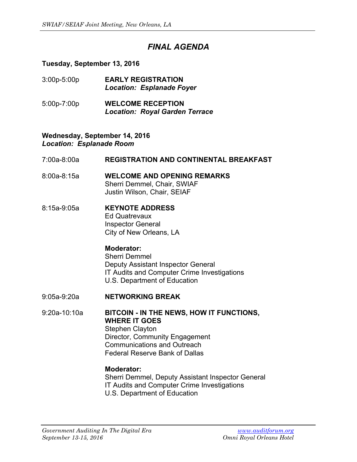# *FINAL AGENDA*

# **Tuesday, September 13, 2016**

| $3:00p - 5:00p$ | <b>EARLY REGISTRATION</b><br><b>Location: Esplanade Foyer</b> |
|-----------------|---------------------------------------------------------------|
| $5.00n - 7.00n$ | WEI COME DECEDTION                                            |

5:00p-7:00p **WELCOME RECEPTION** *Location: Royal Garden Terrace* 

#### **Wednesday, September 14, 2016**  *Location: Esplanade Room*

#### 7:00a-8:00a **REGISTRATION AND CONTINENTAL BREAKFAST**

- 8:00a-8:15a **WELCOME AND OPENING REMARKS** Sherri Demmel, Chair, SWIAF Justin Wilson, Chair, SEIAF
- 8:15a-9:05a **KEYNOTE ADDRESS**  Ed Quatrevaux Inspector General City of New Orleans, LA

#### **Moderator:**  Sherri Demmel Deputy Assistant Inspector General IT Audits and Computer Crime Investigations U.S. Department of Education

9:05a-9:20a **NETWORKING BREAK**

9:20a-10:10a **BITCOIN - IN THE NEWS, HOW IT FUNCTIONS, WHERE IT GOES**  Stephen Clayton Director, Community Engagement Communications and Outreach Federal Reserve Bank of Dallas

# **Moderator:**

 Sherri Demmel, Deputy Assistant Inspector General IT Audits and Computer Crime Investigations U.S. Department of Education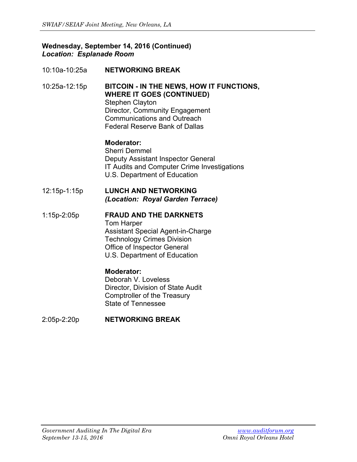# **Wednesday, September 14, 2016 (Continued)**  *Location: Esplanade Room*

10:10a-10:25a **NETWORKING BREAK**

10:25a-12:15p **BITCOIN - IN THE NEWS, HOW IT FUNCTIONS, WHERE IT GOES (CONTINUED)**  Stephen Clayton Director, Community Engagement Communications and Outreach Federal Reserve Bank of Dallas

> **Moderator:**  Sherri Demmel Deputy Assistant Inspector General IT Audits and Computer Crime Investigations U.S. Department of Education

12:15p-1:15p **LUNCH AND NETWORKING**  *(Location: Royal Garden Terrace)*

#### 1:15p-2:05p **FRAUD AND THE DARKNETS**  Tom Harper Assistant Special Agent-in-Charge Technology Crimes Division Office of Inspector General U.S. Department of Education

# **Moderator:**

 Deborah V. Loveless Director, Division of State Audit Comptroller of the Treasury State of Tennessee

2:05p-2:20p **NETWORKING BREAK**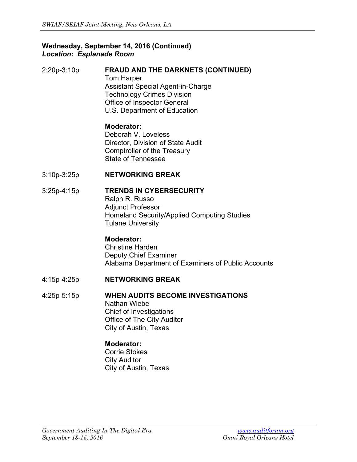# **Wednesday, September 14, 2016 (Continued)**  *Location: Esplanade Room*

2:20p-3:10p **FRAUD AND THE DARKNETS (CONTINUED)**  Tom Harper Assistant Special Agent-in-Charge Technology Crimes Division Office of Inspector General U.S. Department of Education

# **Moderator:**

 Deborah V. Loveless Director, Division of State Audit Comptroller of the Treasury State of Tennessee

# 3:10p-3:25p **NETWORKING BREAK**

# 3:25p-4:15p **TRENDS IN CYBERSECURITY**

Ralph R. Russo Adjunct Professor Homeland Security/Applied Computing Studies Tulane University

# **Moderator:**

 Christine Harden Deputy Chief Examiner Alabama Department of Examiners of Public Accounts

4:15p-4:25p **NETWORKING BREAK** 

#### 4:25p-5:15p **WHEN AUDITS BECOME INVESTIGATIONS** Nathan Wiebe

 Chief of Investigations Office of The City Auditor City of Austin, Texas

# **Moderator:**

 Corrie Stokes City Auditor City of Austin, Texas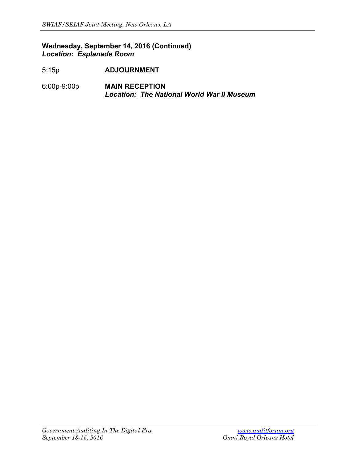# **Wednesday, September 14, 2016 (Continued)**  *Location: Esplanade Room*

- 5:15p **ADJOURNMENT**
- 6:00p-9:00p **MAIN RECEPTION**   *Location: The National World War II Museum*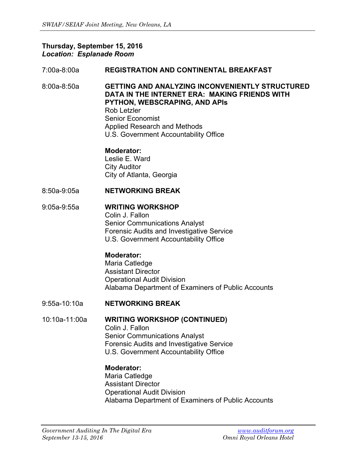#### **Thursday, September 15, 2016**  *Location: Esplanade Room*

#### 7:00a-8:00a **REGISTRATION AND CONTINENTAL BREAKFAST**

8:00a-8:50a **GETTING AND ANALYZING INCONVENIENTLY STRUCTURED DATA IN THE INTERNET ERA: MAKING FRIENDS WITH PYTHON, WEBSCRAPING, AND APIs** Rob Letzler Senior Economist Applied Research and Methods U.S. Government Accountability Office

 **Moderator:** 

 Leslie E. Ward City Auditor City of Atlanta, Georgia

8:50a-9:05a **NETWORKING BREAK** 

#### 9:05a-9:55a **WRITING WORKSHOP**

Colin J. Fallon Senior Communications Analyst Forensic Audits and Investigative Service U.S. Government Accountability Office

# **Moderator:**

 Maria Catledge Assistant Director Operational Audit Division Alabama Department of Examiners of Public Accounts

#### 9:55a-10:10a **NETWORKING BREAK**

10:10a-11:00a **WRITING WORKSHOP (CONTINUED)** 

Colin J. Fallon Senior Communications Analyst Forensic Audits and Investigative Service U.S. Government Accountability Office

#### **Moderator:**

 Maria Catledge Assistant Director Operational Audit Division Alabama Department of Examiners of Public Accounts